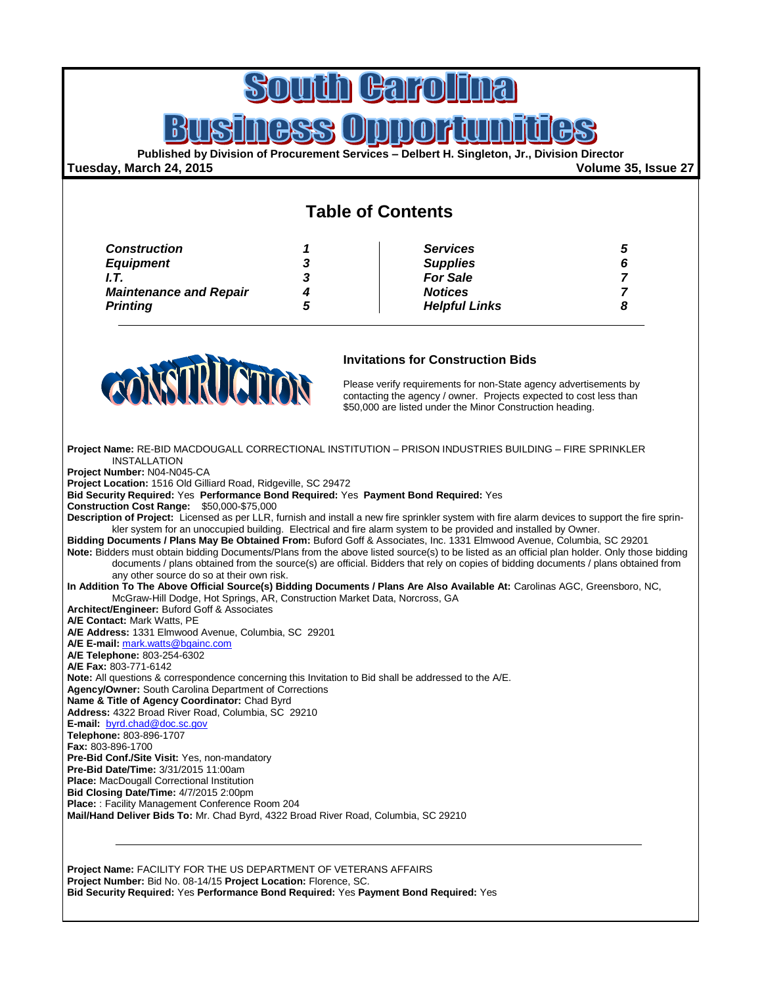# **Hal**

### $\mathbf l$

**Published by Division of Procurement Services – Delbert H. Singleton, Jr., Division Director**

#### **Tuesday, March 24, 2015 Volume 35, Issue 27**

### **Table of Contents**

| <b>Construction</b>           |   | <b>Services</b>      |  |
|-------------------------------|---|----------------------|--|
| <b>Equipment</b>              | 3 | <b>Supplies</b>      |  |
| I.T.                          | 3 | <b>For Sale</b>      |  |
| <b>Maintenance and Repair</b> |   | <b>Notices</b>       |  |
| <b>Printing</b>               | C | <b>Helpful Links</b> |  |



#### **Invitations for Construction Bids**

Please verify requirements for non-State agency advertisements by contacting the agency / owner. Projects expected to cost less than \$50,000 are listed under the Minor Construction heading.

**Project Name:** RE-BID MACDOUGALL CORRECTIONAL INSTITUTION – PRISON INDUSTRIES BUILDING – FIRE SPRINKLER INSTALLATION **Project Number:** N04-N045-CA **Project Location:** 1516 Old Gilliard Road, Ridgeville, SC 29472 **Bid Security Required:** Yes **Performance Bond Required:** Yes **Payment Bond Required:** Yes **Construction Cost Range:** \$50,000-\$75,000 **Description of Project:** Licensed as per LLR, furnish and install a new fire sprinkler system with fire alarm devices to support the fire sprinkler system for an unoccupied building. Electrical and fire alarm system to be provided and installed by Owner. **Bidding Documents / Plans May Be Obtained From:** Buford Goff & Associates, Inc. 1331 Elmwood Avenue, Columbia, SC 29201 **Note:** Bidders must obtain bidding Documents/Plans from the above listed source(s) to be listed as an official plan holder. Only those bidding documents / plans obtained from the source(s) are official. Bidders that rely on copies of bidding documents / plans obtained from any other source do so at their own risk. **In Addition To The Above Official Source(s) Bidding Documents / Plans Are Also Available At:** Carolinas AGC, Greensboro, NC, McGraw-Hill Dodge, Hot Springs, AR, Construction Market Data, Norcross, GA **Architect/Engineer:** Buford Goff & Associates **A/E Contact:** Mark Watts, PE **A/E Address:** 1331 Elmwood Avenue, Columbia, SC 29201 **A/E E-mail:** [mark.watts@bgainc.com](mailto:mark.watts@bgainc.com) **A/E Telephone:** 803-254-6302 **A/E Fax:** 803-771-6142 **Note:** All questions & correspondence concerning this Invitation to Bid shall be addressed to the A/E. **Agency/Owner:** South Carolina Department of Corrections **Name & Title of Agency Coordinator:** Chad Byrd **Address:** 4322 Broad River Road, Columbia, SC 29210 **E-mail:** [byrd.chad@doc.sc.gov](mailto:byrd.chad@doc.sc.gov) **Telephone:** 803-896-1707 **Fax:** 803-896-1700 **Pre-Bid Conf./Site Visit:** Yes, non-mandatory **Pre-Bid Date/Time:** 3/31/2015 11:00am **Place:** MacDougall Correctional Institution **Bid Closing Date/Time:** 4/7/2015 2:00pm **Place:** : Facility Management Conference Room 204 **Mail/Hand Deliver Bids To:** Mr. Chad Byrd, 4322 Broad River Road, Columbia, SC 29210

**Project Name:** FACILITY FOR THE US DEPARTMENT OF VETERANS AFFAIRS **Project Number:** Bid No. 08-14/15 **Project Location:** Florence, SC. **Bid Security Required:** Yes **Performance Bond Required:** Yes **Payment Bond Required:** Yes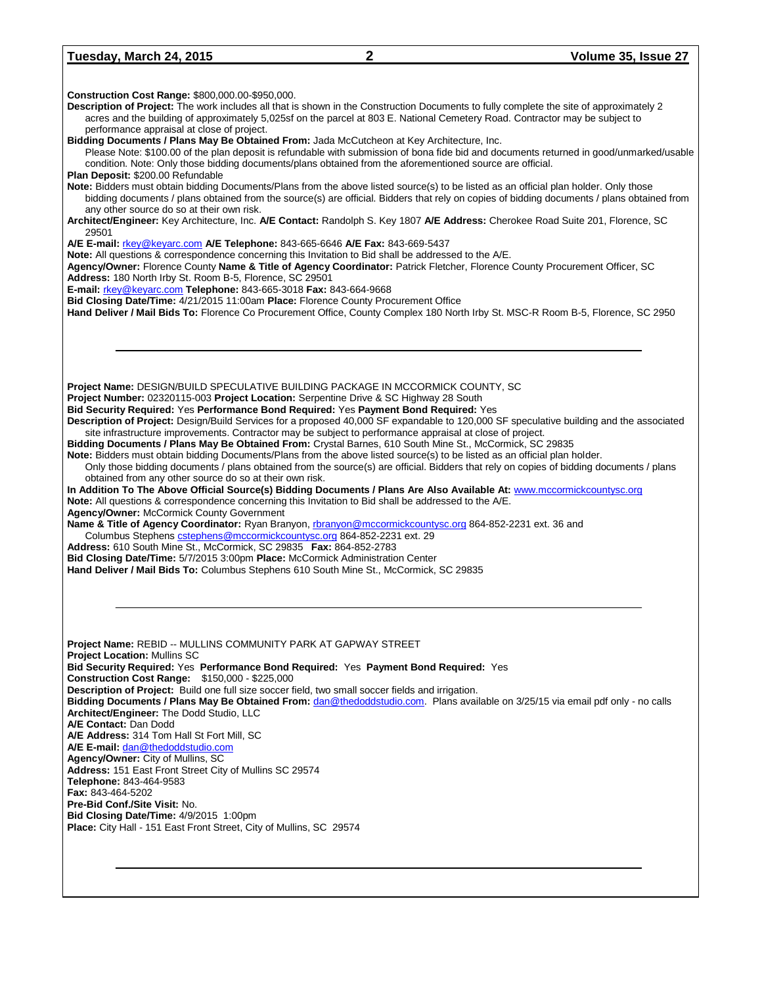#### **Tuesday, March 24, 2015 2 Volume 35, Issue 27**

**Construction Cost Range:** \$800,000.00-\$950,000. **Description of Project:** The work includes all that is shown in the Construction Documents to fully complete the site of approximately 2 acres and the building of approximately 5,025sf on the parcel at 803 E. National Cemetery Road. Contractor may be subject to performance appraisal at close of project. **Bidding Documents / Plans May Be Obtained From:** Jada McCutcheon at Key Architecture, Inc. Please Note: \$100.00 of the plan deposit is refundable with submission of bona fide bid and documents returned in good/unmarked/usable condition. Note: Only those bidding documents/plans obtained from the aforementioned source are official. **Plan Deposit:** \$200.00 Refundable **Note:** Bidders must obtain bidding Documents/Plans from the above listed source(s) to be listed as an official plan holder. Only those bidding documents / plans obtained from the source(s) are official. Bidders that rely on copies of bidding documents / plans obtained from any other source do so at their own risk. **Architect/Engineer:** Key Architecture, Inc. **A/E Contact:** Randolph S. Key 1807 **A/E Address:** Cherokee Road Suite 201, Florence, SC 29501 **A/E E-mail:** [rkey@keyarc.com](mailto:rkey@keyarc.com) **A/E Telephone:** 843-665-6646 **A/E Fax:** 843-669-5437 **Note:** All questions & correspondence concerning this Invitation to Bid shall be addressed to the A/E. **Agency/Owner:** Florence County **Name & Title of Agency Coordinator:** Patrick Fletcher, Florence County Procurement Officer, SC **Address:** 180 North Irby St. Room B-5, Florence, SC 29501 **E-mail:** [rkey@keyarc.com](mailto:rkey@keyarc.com) **Telephone:** 843-665-3018 **Fax:** 843-664-9668 **Bid Closing Date/Time:** 4/21/2015 11:00am **Place:** Florence County Procurement Office **Hand Deliver / Mail Bids To:** Florence Co Procurement Office, County Complex 180 North Irby St. MSC-R Room B-5, Florence, SC 2950 **Project Name:** DESIGN/BUILD SPECULATIVE BUILDING PACKAGE IN MCCORMICK COUNTY, SC **Project Number:** 02320115-003 **Project Location:** Serpentine Drive & SC Highway 28 South **Bid Security Required:** Yes **Performance Bond Required:** Yes **Payment Bond Required:** Yes **Description of Project:** Design/Build Services for a proposed 40,000 SF expandable to 120,000 SF speculative building and the associated site infrastructure improvements. Contractor may be subject to performance appraisal at close of project. **Bidding Documents / Plans May Be Obtained From:** Crystal Barnes, 610 South Mine St., McCormick, SC 29835 **Note:** Bidders must obtain bidding Documents/Plans from the above listed source(s) to be listed as an official plan holder. Only those bidding documents / plans obtained from the source(s) are official. Bidders that rely on copies of bidding documents / plans obtained from any other source do so at their own risk. **In Addition To The Above Official Source(s) Bidding Documents / Plans Are Also Available At:** [www.mccormickcountysc.org](http://www.mccormickcountysc.org/) **Note:** All questions & correspondence concerning this Invitation to Bid shall be addressed to the A/E. **Agency/Owner:** McCormick County Government Name & Title of Agency Coordinator: Ryan Branyon[, rbranyon@mccormickcountysc.org](mailto:rbranyon@mccormickcountysc.org) 864-852-2231 ext. 36 and Columbus Stephen[s cstephens@mccormickcountysc.org](mailto:cstephens@mccormickcountysc.org) 864-852-2231 ext. 29 **Address:** 610 South Mine St., McCormick, SC 29835 **Fax:** 864-852-2783 **Bid Closing Date/Time:** 5/7/2015 3:00pm **Place:** McCormick Administration Center **Hand Deliver / Mail Bids To:** Columbus Stephens 610 South Mine St., McCormick, SC 29835 **Project Name:** REBID -- MULLINS COMMUNITY PARK AT GAPWAY STREET **Project Location:** Mullins SC **Bid Security Required:** Yes **Performance Bond Required:** Yes **Payment Bond Required:** Yes **Construction Cost Range:** \$150,000 - \$225,000 **Description of Project:** Build one full size soccer field, two small soccer fields and irrigation. **Bidding Documents / Plans May Be Obtained From:** [dan@thedoddstudio.com.](mailto:dan@thedoddstudio.com) Plans available on 3/25/15 via email pdf only - no calls **Architect/Engineer:** The Dodd Studio, LLC **A/E Contact:** Dan Dodd **A/E Address:** 314 Tom Hall St Fort Mill, SC **A/E E-mail:** [dan@thedoddstudio.com](mailto:dan@thedoddstudio.com) **Agency/Owner:** City of Mullins, SC **Address:** 151 East Front Street City of Mullins SC 29574 **Telephone:** 843-464-9583 **Fax:** 843-464-5202 **Pre-Bid Conf./Site Visit:** No. **Bid Closing Date/Time:** 4/9/2015 1:00pm **Place:** City Hall - 151 East Front Street, City of Mullins, SC 29574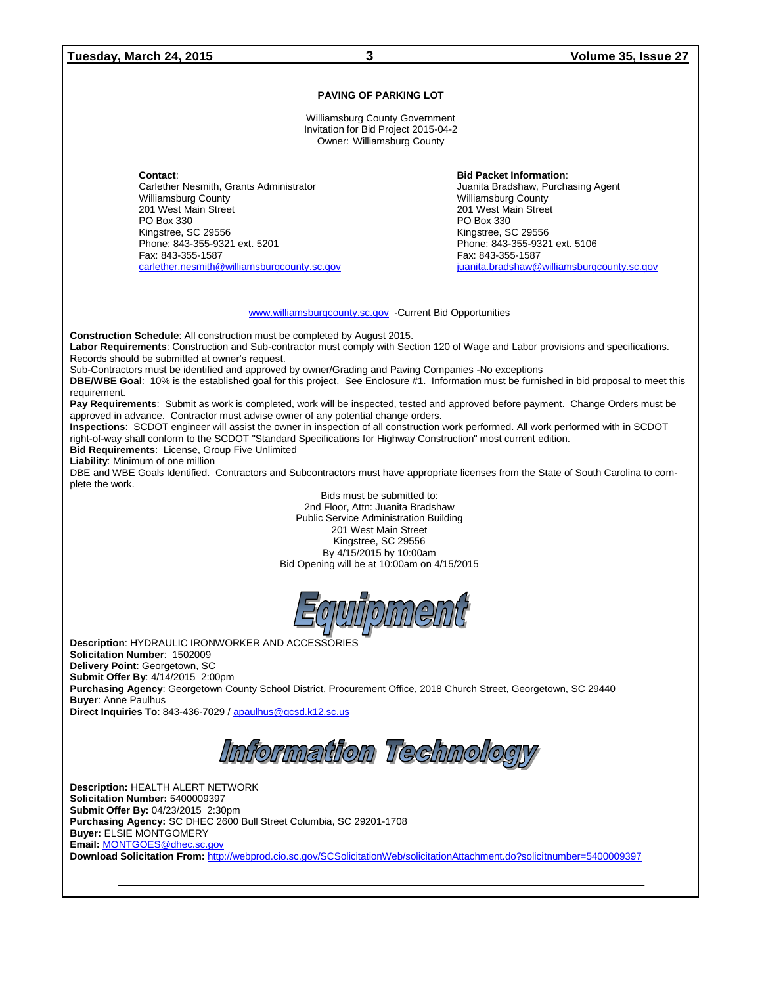**Tuesday, March 24, 2015 3 Volume 35, Issue 27**

#### **PAVING OF PARKING LOT**

Williamsburg County Government Invitation for Bid Project 2015-04-2 Owner: Williamsburg County

**Contact**: Carlether Nesmith, Grants Administrator Williamsburg County 201 West Main Street PO Box 330 Kingstree, SC 29556 Phone: 843-355-9321 ext. 5201 Fax: 843-355-1587 [carlether.nesmith@williamsburgcounty.sc.gov](mailto:carlether.nesmith@williamsburgcounty.sc.gov)  **Bid Packet Information**: Juanita Bradshaw, Purchasing Agent Williamsburg County 201 West Main Street PO Box 330 Kingstree, SC 29556 Phone: 843-355-9321 ext. 5106 Fax: 843-355-1587 [juanita.bradshaw@williamsburgcounty.sc.gov](mailto:juanita.bradshaw@williamsburgcounty.sc.gov) 

[www.williamsburgcounty.sc.gov](http://www.williamsburgcounty.sc.gov/) -Current Bid Opportunities

**Construction Schedule**: All construction must be completed by August 2015.

**Labor Requirements**: Construction and Sub-contractor must comply with Section 120 of Wage and Labor provisions and specifications. Records should be submitted at owner's request.

Sub-Contractors must be identified and approved by owner/Grading and Paving Companies -No exceptions

**DBE/WBE Goal**: 10% is the established goal for this project. See Enclosure #1. Information must be furnished in bid proposal to meet this requirement.

**Pay Requirements**: Submit as work is completed, work will be inspected, tested and approved before payment. Change Orders must be approved in advance. Contractor must advise owner of any potential change orders.

**Inspections**: SCDOT engineer will assist the owner in inspection of all construction work performed. All work performed with in SCDOT right-of-way shall conform to the SCDOT "Standard Specifications for Highway Construction" most current edition.

**Bid Requirements**: License, Group Five Unlimited

**Liability**: Minimum of one million

DBE and WBE Goals Identified. Contractors and Subcontractors must have appropriate licenses from the State of South Carolina to complete the work.

> Bids must be submitted to: 2nd Floor, Attn: Juanita Bradshaw Public Service Administration Building 201 West Main Street Kingstree, SC 29556 By 4/15/2015 by 10:00am Bid Opening will be at 10:00am on 4/15/2015



**Description**: HYDRAULIC IRONWORKER AND ACCESSORIES **Solicitation Number**: 1502009 **Delivery Point**: Georgetown, SC **Submit Offer By**: 4/14/2015 2:00pm **Purchasing Agency**: Georgetown County School District, Procurement Office, 2018 Church Street, Georgetown, SC 29440 **Buyer**: Anne Paulhus **Direct Inquiries To**: 843-436-7029 [/ apaulhus@gcsd.k12.sc.us](mailto:apaulhus@gcsd.k12.sc.us)

Information Technology

**Description:** HEALTH ALERT NETWORK **Solicitation Number:** 5400009397 **Submit Offer By:** 04/23/2015 2:30pm **Purchasing Agency:** SC DHEC 2600 Bull Street Columbia, SC 29201-1708 **Buyer:** ELSIE MONTGOMERY **Email:** [MONTGOES@dhec.sc.gov](mailto:MONTGOES@dhec.sc.gov) **Download Solicitation From:** <http://webprod.cio.sc.gov/SCSolicitationWeb/solicitationAttachment.do?solicitnumber=5400009397>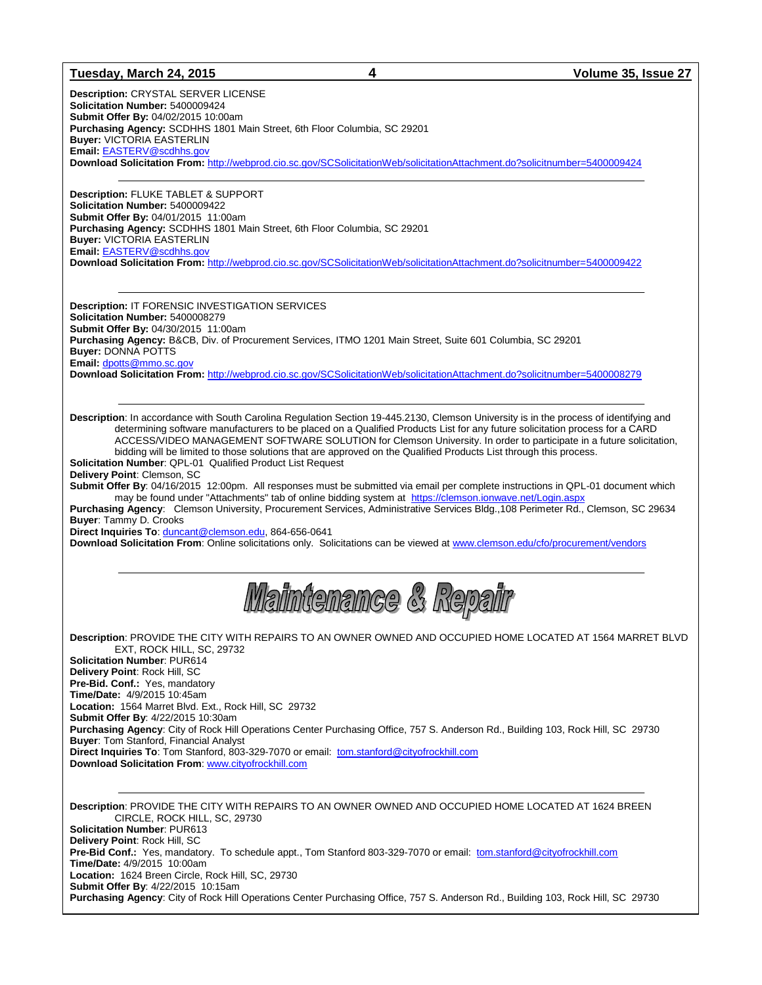#### **Tuesday, March 24, 2015 4 Volume 35, Issue 27**

**Description:** CRYSTAL SERVER LICENSE **Solicitation Number:** 5400009424 **Submit Offer By:** 04/02/2015 10:00am **Purchasing Agency:** SCDHHS 1801 Main Street, 6th Floor Columbia, SC 29201 **Buyer:** VICTORIA EASTERLIN **Email:** [EASTERV@scdhhs.gov](mailto:EASTERV@scdhhs.gov) **Download Solicitation From:** <http://webprod.cio.sc.gov/SCSolicitationWeb/solicitationAttachment.do?solicitnumber=5400009424>

**Description:** FLUKE TABLET & SUPPORT **Solicitation Number:** 5400009422 **Submit Offer By:** 04/01/2015 11:00am **Purchasing Agency:** SCDHHS 1801 Main Street, 6th Floor Columbia, SC 29201 **Buyer:** VICTORIA EASTERLIN **Email:** [EASTERV@scdhhs.gov](mailto:EASTERV@scdhhs.gov)

**Download Solicitation From:** <http://webprod.cio.sc.gov/SCSolicitationWeb/solicitationAttachment.do?solicitnumber=5400009422>

**Description:** IT FORENSIC INVESTIGATION SERVICES **Solicitation Number:** 5400008279 **Submit Offer By:** 04/30/2015 11:00am **Purchasing Agency:** B&CB, Div. of Procurement Services, ITMO 1201 Main Street, Suite 601 Columbia, SC 29201 **Buyer:** DONNA POTTS **Email:** [dpotts@mmo.sc.gov](mailto:dpotts@mmo.sc.gov) **Download Solicitation From:** <http://webprod.cio.sc.gov/SCSolicitationWeb/solicitationAttachment.do?solicitnumber=5400008279>

**Description**: In accordance with South Carolina Regulation Section 19-445.2130, Clemson University is in the process of identifying and determining software manufacturers to be placed on a Qualified Products List for any future solicitation process for a CARD ACCESS/VIDEO MANAGEMENT SOFTWARE SOLUTION for Clemson University. In order to participate in a future solicitation, bidding will be limited to those solutions that are approved on the Qualified Products List through this process.

**Solicitation Number**: QPL-01 Qualified Product List Request

**Delivery Point**: Clemson, SC

**Submit Offer By**: 04/16/2015 12:00pm. All responses must be submitted via email per complete instructions in QPL-01 document which may be found under "Attachments" tab of online bidding system at https://clemson.ionwave.net/Login.asp

**Purchasing Agency**: Clemson University, Procurement Services, Administrative Services Bldg.,108 Perimeter Rd., Clemson, SC 29634 **Buyer**: Tammy D. Crooks

**Direct Inquiries To**: [duncant@clemson.edu,](mailto:duncant@clemson.edu) 864-656-0641

**Download Solicitation From**: Online solicitations only. Solicitations can be viewed at [www.clemson.edu/cfo/procurement/vendors](http://www.clemson.edu/cfo/procurement/vendors)

Waintenance & Repair

**Description**: PROVIDE THE CITY WITH REPAIRS TO AN OWNER OWNED AND OCCUPIED HOME LOCATED AT 1564 MARRET BLVD EXT, ROCK HILL, SC, 29732 **Solicitation Number**: PUR614 **Delivery Point**: Rock Hill, SC **Pre-Bid. Conf.:** Yes, mandatory **Time/Date:** 4/9/2015 10:45am **Location:** 1564 Marret Blvd. Ext., Rock Hill, SC 29732 **Submit Offer By**: 4/22/2015 10:30am **Purchasing Agency**: City of Rock Hill Operations Center Purchasing Office, 757 S. Anderson Rd., Building 103, Rock Hill, SC 29730 **Buyer**: Tom Stanford, Financial Analyst **Direct Inquiries To**: Tom Stanford, 803-329-7070 or email: [tom.stanford@cityofrockhill.com](mailto:tom.stanford@cityofrockhill.com) **Download Solicitation From**[: www.cityofrockhill.com](http://www.cityofrockhill.com/)

**Description**: PROVIDE THE CITY WITH REPAIRS TO AN OWNER OWNED AND OCCUPIED HOME LOCATED AT 1624 BREEN CIRCLE, ROCK HILL, SC, 29730 **Solicitation Number**: PUR613 **Delivery Point**: Rock Hill, SC **Pre-Bid Conf.:** Yes, mandatory. To schedule appt., Tom Stanford 803-329-7070 or email: [tom.stanford@cityofrockhill.com](mailto:tom.stanford@cityofrockhill.com) **Time/Date:** 4/9/2015 10:00am **Location:** 1624 Breen Circle, Rock Hill, SC, 29730 **Submit Offer By**: 4/22/2015 10:15am **Purchasing Agency**: City of Rock Hill Operations Center Purchasing Office, 757 S. Anderson Rd., Building 103, Rock Hill, SC 29730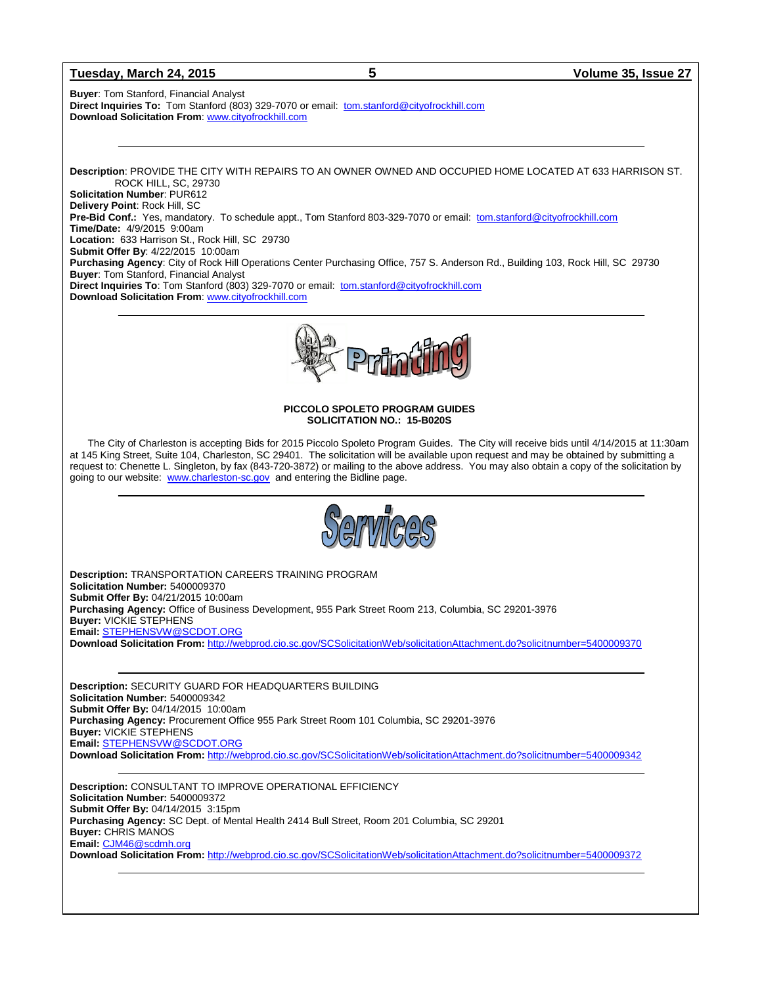#### **Tuesday, March 24, 2015 5 Volume 35, Issue 27**

**Buyer**: Tom Stanford, Financial Analyst **Direct Inquiries To:** Tom Stanford (803) 329-7070 or email: [tom.stanford@cityofrockhill.com](mailto:tom.stanford@cityofrockhill.com) **Download Solicitation From**[: www.cityofrockhill.com](http://www.cityofrockhill.com/)

**Description**: PROVIDE THE CITY WITH REPAIRS TO AN OWNER OWNED AND OCCUPIED HOME LOCATED AT 633 HARRISON ST. ROCK HILL, SC, 29730 **Solicitation Number**: PUR612 **Delivery Point**: Rock Hill, SC **Pre-Bid Conf.:** Yes, mandatory.To schedule appt., Tom Stanford 803-329-7070 or email: [tom.stanford@cityofrockhill.com](mailto:tom.stanford@cityofrockhill.com) **Time/Date:** 4/9/2015 9:00am **Location:** 633 Harrison St., Rock Hill, SC 29730 **Submit Offer By**: 4/22/2015 10:00am **Purchasing Agency**: City of Rock Hill Operations Center Purchasing Office, 757 S. Anderson Rd., Building 103, Rock Hill, SC 29730 **Buyer**: Tom Stanford, Financial Analyst **Direct Inquiries To**: Tom Stanford (803) 329-7070 or email: [tom.stanford@cityofrockhill.com](mailto:tom.stanford@cityofrockhill.com) **Download Solicitation From**[: www.cityofrockhill.com](http://www.cityofrockhill.com/)



#### **PICCOLO SPOLETO PROGRAM GUIDES SOLICITATION NO.: 15-B020S**

The City of Charleston is accepting Bids for 2015 Piccolo Spoleto Program Guides. The City will receive bids until 4/14/2015 at 11:30am at 145 King Street, Suite 104, Charleston, SC 29401. The solicitation will be available upon request and may be obtained by submitting a request to: Chenette L. Singleton, by fax (843-720-3872) or mailing to the above address. You may also obtain a copy of the solicitation by going to our website: [www.charleston-sc.gov](http://www.charleston-sc.gov/) and entering the Bidline page.



**Description:** TRANSPORTATION CAREERS TRAINING PROGRAM **Solicitation Number:** 5400009370 **Submit Offer By:** 04/21/2015 10:00am **Purchasing Agency:** Office of Business Development, 955 Park Street Room 213, Columbia, SC 29201-3976 **Buyer:** VICKIE STEPHENS **Email:** [STEPHENSVW@SCDOT.ORG](mailto:STEPHENSVW@SCDOT.ORG) **Download Solicitation From:** <http://webprod.cio.sc.gov/SCSolicitationWeb/solicitationAttachment.do?solicitnumber=5400009370>

**Description:** SECURITY GUARD FOR HEADQUARTERS BUILDING **Solicitation Number:** 5400009342 **Submit Offer By:** 04/14/2015 10:00am **Purchasing Agency:** Procurement Office 955 Park Street Room 101 Columbia, SC 29201-3976 **Buyer:** VICKIE STEPHENS **Email:** [STEPHENSVW@SCDOT.ORG](mailto:STEPHENSVW@SCDOT.ORG) **Download Solicitation From:** <http://webprod.cio.sc.gov/SCSolicitationWeb/solicitationAttachment.do?solicitnumber=5400009342>

**Description:** CONSULTANT TO IMPROVE OPERATIONAL EFFICIENCY **Solicitation Number:** 5400009372 **Submit Offer By:** 04/14/2015 3:15pm **Purchasing Agency:** SC Dept. of Mental Health 2414 Bull Street, Room 201 Columbia, SC 29201 **Buyer:** CHRIS MANOS **Email:** [CJM46@scdmh.org](mailto:CJM46@scdmh.org) **Download Solicitation From:** <http://webprod.cio.sc.gov/SCSolicitationWeb/solicitationAttachment.do?solicitnumber=5400009372>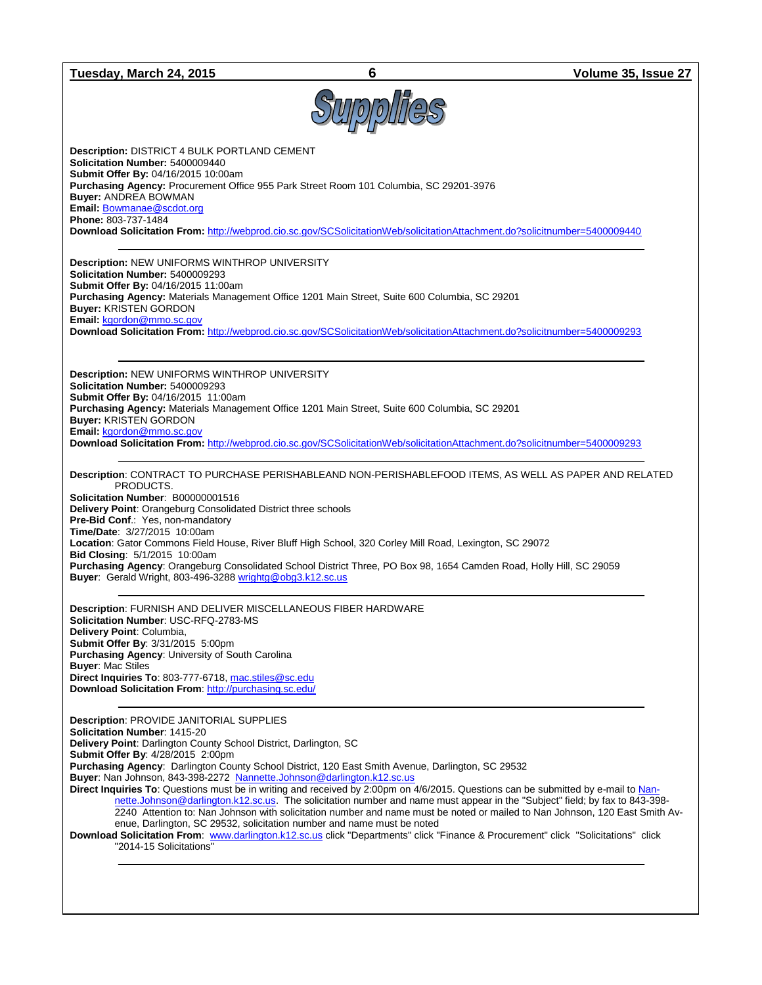#### **Tuesday, March 24, 2015 6 Volume 35, Issue 27**



**Description:** DISTRICT 4 BULK PORTLAND CEMENT **Solicitation Number:** 5400009440 **Submit Offer By:** 04/16/2015 10:00am **Purchasing Agency:** Procurement Office 955 Park Street Room 101 Columbia, SC 29201-3976 **Buyer:** ANDREA BOWMAN **Email:** [Bowmanae@scdot.org](mailto:Bowmanae@scdot.org) **Phone:** 803-737-1484 **Download Solicitation From:** <http://webprod.cio.sc.gov/SCSolicitationWeb/solicitationAttachment.do?solicitnumber=5400009440>

**Description:** NEW UNIFORMS WINTHROP UNIVERSITY **Solicitation Number:** 5400009293 **Submit Offer By:** 04/16/2015 11:00am **Purchasing Agency:** Materials Management Office 1201 Main Street, Suite 600 Columbia, SC 29201 **Buyer:** KRISTEN GORDON **Email:** [kgordon@mmo.sc.gov](mailto:kgordon@mmo.sc.gov) **Download Solicitation From:** <http://webprod.cio.sc.gov/SCSolicitationWeb/solicitationAttachment.do?solicitnumber=5400009293>

**Description:** NEW UNIFORMS WINTHROP UNIVERSITY **Solicitation Number:** 5400009293 **Submit Offer By:** 04/16/2015 11:00am **Purchasing Agency:** Materials Management Office 1201 Main Street, Suite 600 Columbia, SC 29201 **Buyer:** KRISTEN GORDON **Email:** [kgordon@mmo.sc.gov](mailto:kgordon@mmo.sc.gov) **Download Solicitation From:** <http://webprod.cio.sc.gov/SCSolicitationWeb/solicitationAttachment.do?solicitnumber=5400009293>

**Description**: CONTRACT TO PURCHASE PERISHABLEAND NON-PERISHABLEFOOD ITEMS, AS WELL AS PAPER AND RELATED PRODUCTS.

**Solicitation Number**: B00000001516 **Delivery Point**: Orangeburg Consolidated District three schools **Pre-Bid Conf**.: Yes, non-mandatory **Time/Date**: 3/27/2015 10:00am **Location**: Gator Commons Field House, River Bluff High School, 320 Corley Mill Road, Lexington, SC 29072 **Bid Closing**: 5/1/2015 10:00am **Purchasing Agency**: Orangeburg Consolidated School District Three, PO Box 98, 1654 Camden Road, Holly Hill, SC 29059 **Buyer**: Gerald Wright, 803-496-328[8 wrightg@obg3.k12.sc.us](mailto:wrightg@obg3.k12.sc.us)

**Description**: FURNISH AND DELIVER MISCELLANEOUS FIBER HARDWARE **Solicitation Number**: USC-RFQ-2783-MS **Delivery Point**: Columbia, **Submit Offer By**: 3/31/2015 5:00pm **Purchasing Agency**: University of South Carolina **Buyer**: Mac Stiles **Direct Inquiries To**: 803-777-6718, [mac.stiles@sc.edu](mailto:mac.stiles@sc.edu) **Download Solicitation From**[: http://purchasing.sc.edu/](http://purchasing.sc.edu/)

**Description**: PROVIDE JANITORIAL SUPPLIES **Solicitation Number**: 1415-20 **Delivery Point**: Darlington County School District, Darlington, SC **Submit Offer By**: 4/28/2015 2:00pm **Purchasing Agency**: Darlington County School District, 120 East Smith Avenue, Darlington, SC 29532 **Buyer**: Nan Johnson, 843-398-2272 [Nannette.Johnson@darlington.k12.sc.us](mailto:Nannette.Johnson@darlington.k12.sc.us) **Direct Inquiries To**: Questions must be in writing and received by 2:00pm on 4/6/2015. Questions can be submitted by e-mail to [Nan](mailto:Nannette.Johnson@darlington.k12.sc.us)[nette.Johnson@darlington.k12.sc.us.](mailto:Nannette.Johnson@darlington.k12.sc.us) The solicitation number and name must appear in the "Subject" field; by fax to 843-398- 2240 Attention to: Nan Johnson with solicitation number and name must be noted or mailed to Nan Johnson, 120 East Smith Avenue, Darlington, SC 29532, solicitation number and name must be noted **Download Solicitation From**: [www.darlington.k12.sc.us](http://www.darlington.k12.sc.us/) click "Departments" click "Finance & Procurement" click "Solicitations" click "2014-15 Solicitations"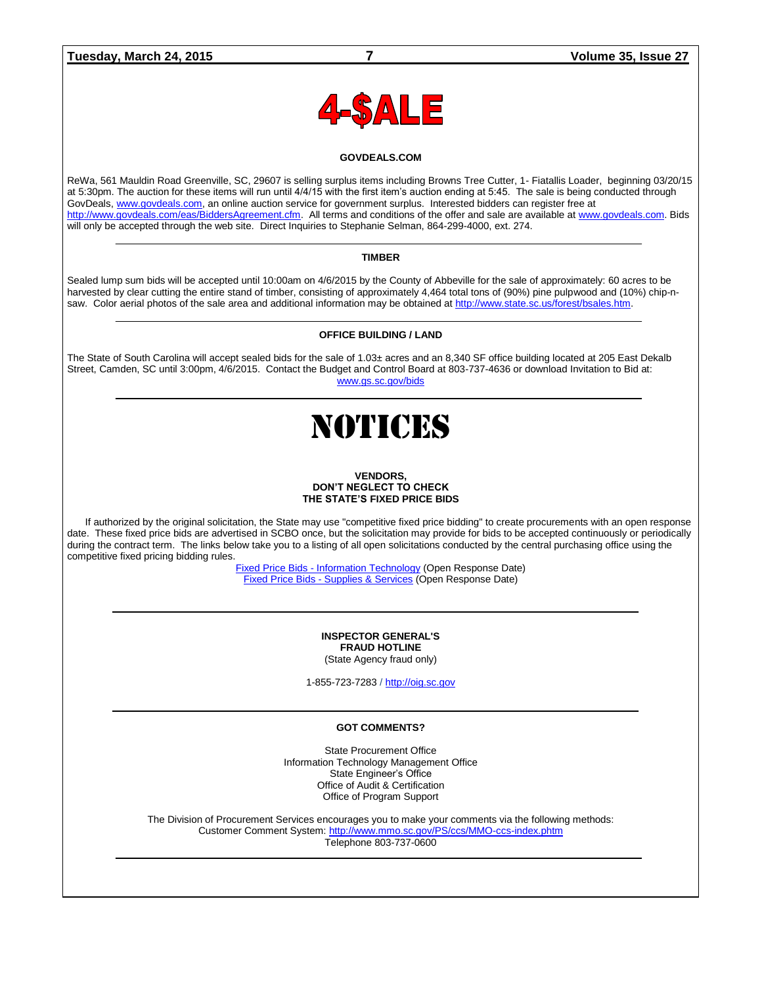

#### **GOVDEALS.COM**

ReWa, 561 Mauldin Road Greenville, SC, 29607 is selling surplus items including Browns Tree Cutter, 1- Fiatallis Loader, beginning 03/20/15 at 5:30pm. The auction for these items will run until 4/4/15 with the first item's auction ending at 5:45. The sale is being conducted through GovDeals[, www.govdeals.com,](http://www.govdeals.com/) an online auction service for government surplus. Interested bidders can register free at [http://www.govdeals.com/eas/BiddersAgreement.cfm.](http://www.govdeals.com/eas/BiddersAgreement.cfm) All terms and conditions of the offer and sale are available at [www.govdeals.com.](http://www.govdeals.com/) Bids will only be accepted through the web site. Direct Inquiries to Stephanie Selman, 864-299-4000, ext. 274.

#### **TIMBER**

Sealed lump sum bids will be accepted until 10:00am on 4/6/2015 by the County of Abbeville for the sale of approximately: 60 acres to be harvested by clear cutting the entire stand of timber, consisting of approximately 4,464 total tons of (90%) pine pulpwood and (10%) chip-nsaw. Color aerial photos of the sale area and additional information may be obtained at [http://www.state.sc.us/forest/bsales.htm.](http://www.state.sc.us/forest/bsales.htm)

#### **OFFICE BUILDING / LAND**

The State of South Carolina will accept sealed bids for the sale of 1.03± acres and an 8,340 SF office building located at 205 East Dekalb Street, Camden, SC until 3:00pm, 4/6/2015. Contact the Budget and Control Board at 803-737-4636 or download Invitation to Bid at: [www.gs.sc.gov/bids](http://www.gs.sc.gov/bids)

## NOTICES

#### **VENDORS, DON'T NEGLECT TO CHECK THE STATE'S FIXED PRICE BIDS**

If authorized by the original solicitation, the State may use "competitive fixed price bidding" to create procurements with an open response date. These fixed price bids are advertised in SCBO once, but the solicitation may provide for bids to be accepted continuously or periodically during the contract term. The links below take you to a listing of all open solicitations conducted by the central purchasing office using the competitive fixed pricing bidding rules.

> Fixed Price Bids - [Information Technology](http://www.mmo.sc.gov/PS/vendor/PS-vendor-fixed-price-bids-it.phtm) (Open Response Date) Fixed Price Bids - [Supplies & Services](http://www.mmo.sc.gov/PS/vendor/PS-vendor-fixed-price-bids-ss.phtm) (Open Response Date)

#### **INSPECTOR GENERAL'S FRAUD HOTLINE** (State Agency fraud only)

1-855-723-7283 / [http://oig.sc.gov](http://oig.sc.gov/)

#### **GOT COMMENTS?**

State Procurement Office Information Technology Management Office State Engineer's Office Office of Audit & Certification Office of Program Support

The Division of Procurement Services encourages you to make your comments via the following methods: Customer Comment System[: http://www.mmo.sc.gov/PS/ccs/MMO-ccs-index.phtm](http://www.mmo.sc.gov/PS/ccs/MMO-ccs-index.phtm) Telephone 803-737-0600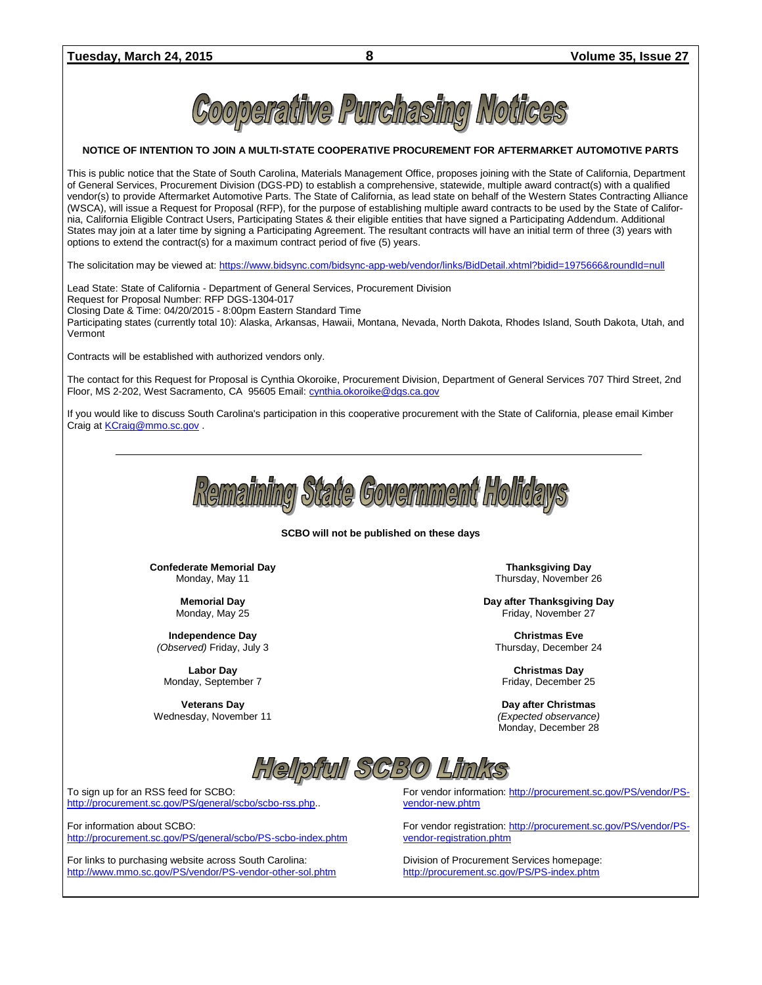

#### **NOTICE OF INTENTION TO JOIN A MULTI-STATE COOPERATIVE PROCUREMENT FOR AFTERMARKET AUTOMOTIVE PARTS**

This is public notice that the State of South Carolina, Materials Management Office, proposes joining with the State of California, Department of General Services, Procurement Division (DGS-PD) to establish a comprehensive, statewide, multiple award contract(s) with a qualified vendor(s) to provide Aftermarket Automotive Parts. The State of California, as lead state on behalf of the Western States Contracting Alliance (WSCA), will issue a Request for Proposal (RFP), for the purpose of establishing multiple award contracts to be used by the State of California, California Eligible Contract Users, Participating States & their eligible entities that have signed a Participating Addendum. Additional States may join at a later time by signing a Participating Agreement. The resultant contracts will have an initial term of three (3) years with options to extend the contract(s) for a maximum contract period of five (5) years.

The solicitation may be viewed at[: https://www.bidsync.com/bidsync-app-web/vendor/links/BidDetail.xhtml?bidid=1975666&roundId=null](https://www.bidsync.com/bidsync-app-web/vendor/links/BidDetail.xhtml?bidid=1975666&roundId=null)

Lead State: State of California - Department of General Services, Procurement Division Request for Proposal Number: RFP DGS-1304-017 Closing Date & Time: 04/20/2015 - 8:00pm Eastern Standard Time Participating states (currently total 10): Alaska, Arkansas, Hawaii, Montana, Nevada, North Dakota, Rhodes Island, South Dakota, Utah, and Vermont

Contracts will be established with authorized vendors only.

The contact for this Request for Proposal is Cynthia Okoroike, Procurement Division, Department of General Services 707 Third Street, 2nd Floor, MS 2-202, West Sacramento, CA 95605 Email[: cynthia.okoroike@dgs.ca.gov](mailto:cynthia.okoroike@dgs.ca.gov)

If you would like to discuss South Carolina's participation in this cooperative procurement with the State of California, please email Kimber Craig a[t KCraig@mmo.sc.gov](mailto:KCraig@mmo.sc.gov) .



#### **SCBO will not be published on these days**

**Confederate Memorial Day** Monday, May 11

> **Memorial Day** Monday, May 25

**Independence Day** *(Observed)* Friday, July 3

**Labor Day** Monday, September 7

**Veterans Day** Wednesday, November 11

**Thanksgiving Day** Thursday, November 26

**Day after Thanksgiving Day** Friday, November 27

**Christmas Eve** Thursday, December 24

**Christmas Day** Friday, December 25

**Day after Christmas** *(Expected observance)* Monday, December 28



To sign up for an RSS feed for SCBO: [http://procurement.sc.gov/PS/general/scbo/scbo-rss.php.](http://procurement.sc.gov/PS/general/scbo/scbo-rss.php).

For information about SCBO: <http://procurement.sc.gov/PS/general/scbo/PS-scbo-index.phtm>

For links to purchasing website across South Carolina: <http://www.mmo.sc.gov/PS/vendor/PS-vendor-other-sol.phtm> For vendor information: [http://procurement.sc.gov/PS/vendor/PS](http://procurement.sc.gov/PS/vendor/PS-vendor-new.phtm)[vendor-new.phtm](http://procurement.sc.gov/PS/vendor/PS-vendor-new.phtm)

For vendor registration: [http://procurement.sc.gov/PS/vendor/PS](http://procurement.sc.gov/PS/vendor/PS-vendor-registration.phtm)[vendor-registration.phtm](http://procurement.sc.gov/PS/vendor/PS-vendor-registration.phtm)

Division of Procurement Services homepage: <http://procurement.sc.gov/PS/PS-index.phtm>